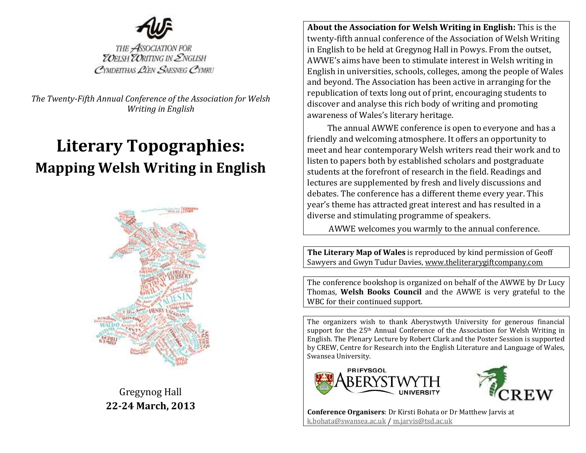

THE ASSOCIATION FOR<br>**ZOELSH ZORITING IN ENGLISH** CYMDEITHAS LIEN SAESNEG CYMRU

*The Twenty-Fifth Annual Conference of the Association for Welsh Writing in English*

# **Literary Topographies: Mapping Welsh Writing in English**



Gregynog Hall **22-24 March, 2013**

**About the Association for Welsh Writing in English:** This is the twenty-fifth annual conference of the Association of Welsh Writing in English to be held at Gregynog Hall in Powys. From the outset, AWWE's aims have been to stimulate interest in Welsh writing in English in universities, schools, colleges, among the people of Wales and beyond. The Association has been active in arranging for the republication of texts long out of print, encouraging students to discover and analyse this rich body of writing and promoting awareness of Wales's literary heritage.

The annual AWWE conference is open to everyone and has a friendly and welcoming atmosphere. It offers an opportunity to meet and hear contemporary Welsh writers read their work and to listen to papers both by established scholars and postgraduate students at the forefront of research in the field. Readings and lectures are supplemented by fresh and lively discussions and debates. The conference has a different theme every year. This year's theme has attracted great interest and has resulted in a diverse and stimulating programme of speakers.

AWWE welcomes you warmly to the annual conference.

**The Literary Map of Wales** is reproduced by kind permission of Geoff Sawyers and Gwyn Tudur Davies[, www.theliterarygiftcompany.com](http://www.theliterarygiftcompany.com/)

The conference bookshop is organized on behalf of the AWWE by Dr Lucy Thomas, **Welsh Books Council** and the AWWE is very grateful to the WBC for their continued support.

The organizers wish to thank Aberystwyth University for generous financial support for the 25th Annual Conference of the Association for Welsh Writing in English. The Plenary Lecture by Robert Clark and the Poster Session is supported by CREW, Centre for Research into the English Literature and Language of Wales, Swansea University.





**Conference Organisers**: Dr Kirsti Bohata or Dr Matthew Jarvis at [k.bohata@swansea.ac.uk](mailto:k.bohata@swansea.ac.uk) / [m.jarvis@tsd.ac.uk](mailto:m.jarvis@tsd.ac.uk)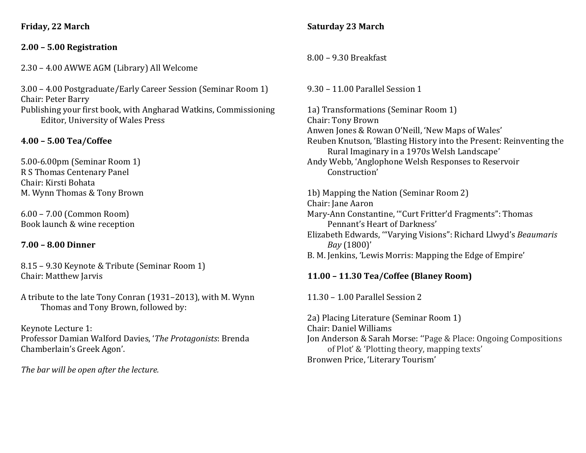**Friday, 22 March**

#### **2.00 – 5.00 Registration**

2.30 – 4.00 AWWE AGM (Library) All Welcome

3.00 – 4.00 Postgraduate/Early Career Session (Seminar Room 1) Chair: Peter Barry Publishing your first book, with Angharad Watkins, Commissioning Editor, University of Wales Press

### **4.00 – 5.00 Tea/Coffee**

5.00-6.00pm (Seminar Room 1) R S Thomas Centenary Panel Chair: Kirsti Bohata M. Wynn Thomas & Tony Brown

6.00 – 7.00 (Common Room) Book launch & wine reception

#### **7.00 – 8.00 Dinner**

8.15 – 9.30 Keynote & Tribute (Seminar Room 1) Chair: Matthew Jarvis

A tribute to the late Tony Conran (1931–2013), with M. Wynn Thomas and Tony Brown, followed by:

#### Keynote Lecture 1:

Professor Damian Walford Davies, '*The Protagonists*: Brenda Chamberlain's Greek Agon'.

*The bar will be open after the lecture.*

#### **Saturday 23 March**

8.00 – 9.30 Breakfast

9.30 – 11.00 Parallel Session 1

1a) Transformations (Seminar Room 1) Chair: Tony Brown Anwen Jones & Rowan O'Neill, 'New Maps of Wales' Reuben Knutson, 'Blasting History into the Present: Reinventing the Rural Imaginary in a 1970s Welsh Landscape' Andy Webb, 'Anglophone Welsh Responses to Reservoir

Construction'

1b) Mapping the Nation (Seminar Room 2) Chair: Jane Aaron Mary-Ann Constantine, '"Curt Fritter'd Fragments": Thomas Pennant's Heart of Darkness' Elizabeth Edwards, '"Varying Visions": Richard Llwyd's *Beaumaris Bay* (1800)'

B. M. Jenkins, 'Lewis Morris: Mapping the Edge of Empire'

## **11.00 – 11.30 Tea/Coffee (Blaney Room)**

11.30 – 1.00 Parallel Session 2

2a) Placing Literature (Seminar Room 1) Chair: Daniel Williams Jon Anderson & Sarah Morse: ''Page & Place: Ongoing Compositions of Plot' & 'Plotting theory, mapping texts' Bronwen Price, 'Literary Tourism'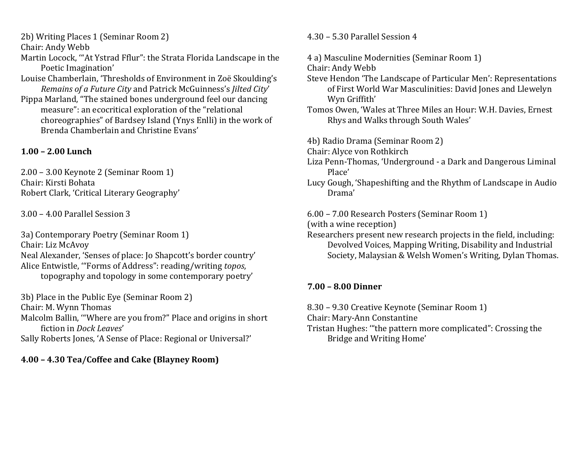2b) Writing Places 1 (Seminar Room 2)

Chair: Andy Webb

Martin Locock, '"At Ystrad Fflur": the Strata Florida Landscape in the Poetic Imagination'

Louise Chamberlain, 'Thresholds of Environment in Zoë Skoulding's *Remains of a Future City* and Patrick McGuinness's *Jilted City*' Pippa Marland, "The stained bones underground feel our dancing measure": an ecocritical exploration of the "relational choreographies" of Bardsey Island (Ynys Enlli) in the work of Brenda Chamberlain and Christine Evans'

## **1.00 – 2.00 Lunch**

2.00 – 3.00 Keynote 2 (Seminar Room 1) Chair: Kirsti Bohata Robert Clark, 'Critical Literary Geography'

3.00 – 4.00 Parallel Session 3

3a) Contemporary Poetry (Seminar Room 1) Chair: Liz McAvoy Neal Alexander, 'Senses of place: Jo Shapcott's border country' Alice Entwistle, '"Forms of Address": reading/writing *topos*, topography and topology in some contemporary poetry'

3b) Place in the Public Eye (Seminar Room 2) Chair: M. Wynn Thomas Malcolm Ballin, '"Where are you from?" Place and origins in short fiction in *Dock Leaves*' Sally Roberts Jones, 'A Sense of Place: Regional or Universal?'

## **4.00 – 4.30 Tea/Coffee and Cake (Blayney Room)**

4.30 – 5.30 Parallel Session 4

4 a) Masculine Modernities (Seminar Room 1)

Chair: Andy Webb

- Steve Hendon 'The Landscape of Particular Men': Representations of First World War Masculinities: David Jones and Llewelyn Wyn Griffith'
- Tomos Owen, 'Wales at Three Miles an Hour: W.H. Davies, Ernest Rhys and Walks through South Wales'

4b) Radio Drama (Seminar Room 2)

Chair: Alyce von Rothkirch

- Liza Penn-Thomas, 'Underground a Dark and Dangerous Liminal Place'
- Lucy Gough, 'Shapeshifting and the Rhythm of Landscape in Audio Drama'

6.00 – 7.00 Research Posters (Seminar Room 1)

(with a wine reception)

Researchers present new research projects in the field, including: Devolved Voices, Mapping Writing, Disability and Industrial Society, Malaysian & Welsh Women's Writing, Dylan Thomas.

# **7.00 – 8.00 Dinner**

8.30 – 9.30 Creative Keynote (Seminar Room 1) Chair: Mary-Ann Constantine Tristan Hughes: '"the pattern more complicated": Crossing the Bridge and Writing Home'